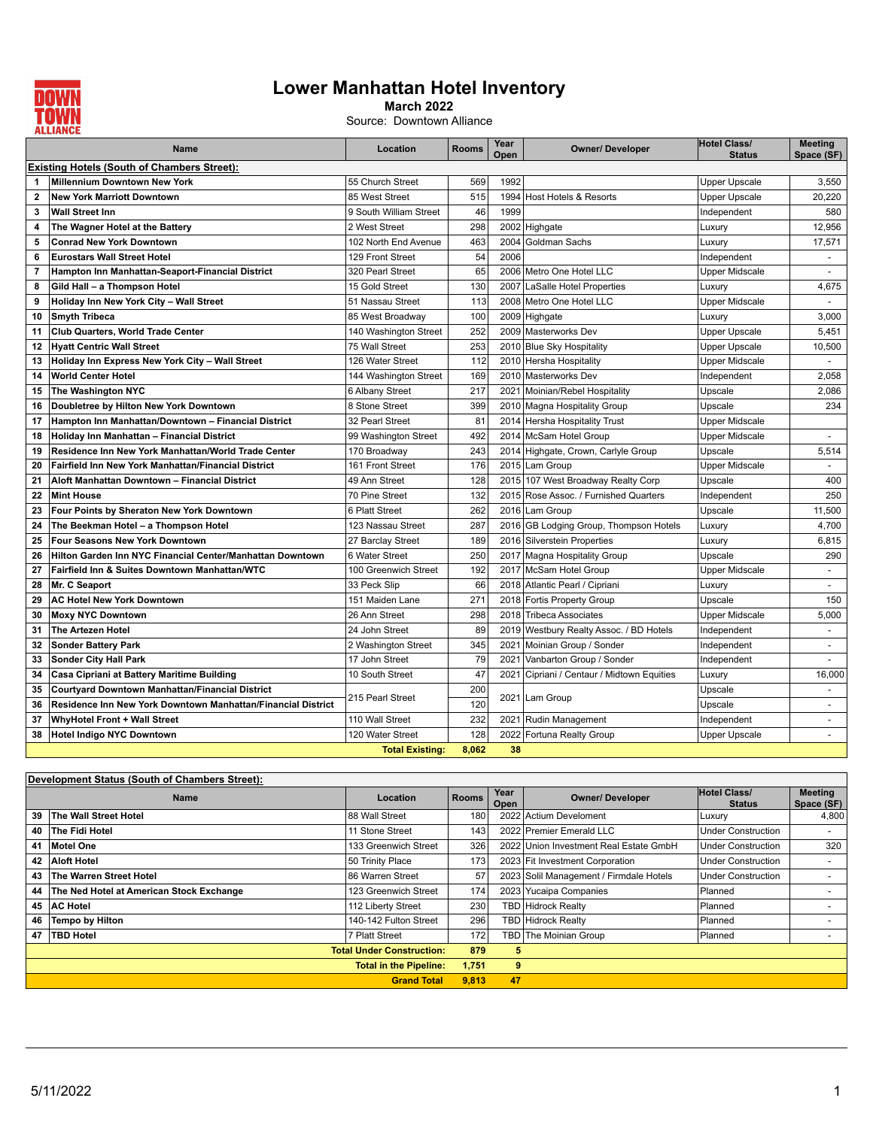

## **Lower Manhattan Hotel Inventory**

**March 2022**

Source: Downtown Alliance

|                                                    | Name                                                         | Location               | <b>Rooms</b> | Year<br>Open | <b>Owner/ Developer</b>                    | <b>Hotel Class/</b><br><b>Status</b> | <b>Meeting</b><br>Space (SF) |  |
|----------------------------------------------------|--------------------------------------------------------------|------------------------|--------------|--------------|--------------------------------------------|--------------------------------------|------------------------------|--|
| <b>Existing Hotels (South of Chambers Street):</b> |                                                              |                        |              |              |                                            |                                      |                              |  |
| 1                                                  | <b>Millennium Downtown New York</b>                          | 55 Church Street       | 569          | 1992         |                                            | <b>Upper Upscale</b>                 | 3,550                        |  |
| $\mathbf{2}$                                       | <b>New York Marriott Downtown</b>                            | 85 West Street         | 515          | 1994         | Host Hotels & Resorts                      | <b>Upper Upscale</b>                 | 20,220                       |  |
| 3                                                  | <b>Wall Street Inn</b>                                       | 9 South William Street | 46           | 1999         |                                            | Independent                          | 580                          |  |
| 4                                                  | The Wagner Hotel at the Battery                              | 2 West Street          | 298          | 2002         | Highgate                                   | Luxury                               | 12,956                       |  |
| 5                                                  | <b>Conrad New York Downtown</b>                              | 102 North End Avenue   | 463          | 2004         | Goldman Sachs                              | Luxury                               | 17,571                       |  |
| 6                                                  | <b>Eurostars Wall Street Hotel</b>                           | 129 Front Street       | 54           | 2006         |                                            | Independent                          | $\blacksquare$               |  |
| 7                                                  | Hampton Inn Manhattan-Seaport-Financial District             | 320 Pearl Street       | 65           |              | 2006 Metro One Hotel LLC                   | Upper Midscale                       |                              |  |
| 8                                                  | Gild Hall - a Thompson Hotel                                 | 15 Gold Street         | 130          | 2007         | LaSalle Hotel Properties                   | Luxury                               | 4,675                        |  |
| 9                                                  | Holiday Inn New York City - Wall Street                      | 51 Nassau Street       | 113          |              | 2008 Metro One Hotel LLC                   | <b>Upper Midscale</b>                | $\blacksquare$               |  |
| 10                                                 | <b>Smyth Tribeca</b>                                         | 85 West Broadway       | 100          |              | 2009 Highgate                              | Luxury                               | 3,000                        |  |
| 11                                                 | Club Quarters, World Trade Center                            | 140 Washington Street  | 252          |              | 2009 Masterworks Dev                       | <b>Upper Upscale</b>                 | 5,451                        |  |
| 12                                                 | <b>Hyatt Centric Wall Street</b>                             | 75 Wall Street         | 253          |              | 2010 Blue Sky Hospitality                  | Upper Upscale                        | 10,500                       |  |
| 13                                                 | Holiday Inn Express New York City - Wall Street              | 126 Water Street       | 112          |              | 2010 Hersha Hospitality                    | Upper Midscale                       |                              |  |
| 14                                                 | World Center Hotel                                           | 144 Washington Street  | 169          |              | 2010 Masterworks Dev                       | Independent                          | 2,058                        |  |
| 15                                                 | The Washington NYC                                           | 6 Albany Street        | 217          |              | 2021 Moinian/Rebel Hospitality             | Upscale                              | 2,086                        |  |
| 16                                                 | Doubletree by Hilton New York Downtown                       | 8 Stone Street         | 399          |              | 2010 Magna Hospitality Group               | Upscale                              | 234                          |  |
| 17                                                 | Hampton Inn Manhattan/Downtown - Financial District          | 32 Pearl Street        | 81           |              | 2014 Hersha Hospitality Trust              | <b>Upper Midscale</b>                |                              |  |
| 18                                                 | Holiday Inn Manhattan - Financial District                   | 99 Washington Street   | 492          |              | 2014 McSam Hotel Group                     | <b>Upper Midscale</b>                |                              |  |
| 19                                                 | Residence Inn New York Manhattan/World Trade Center          | 170 Broadway           | 243          |              | 2014 Highgate, Crown, Carlyle Group        | Upscale                              | 5,514                        |  |
| 20                                                 | Fairfield Inn New York Manhattan/Financial District          | 161 Front Street       | 176          |              | 2015 Lam Group                             | <b>Upper Midscale</b>                | $\sim$                       |  |
| 21                                                 | Aloft Manhattan Downtown – Financial District                | 49 Ann Street          | 128          |              | 2015 107 West Broadway Realty Corp         | Upscale                              | 400                          |  |
| 22                                                 | <b>Mint House</b>                                            | 70 Pine Street         | 132          |              | 2015 Rose Assoc. / Furnished Quarters      | Independent                          | 250                          |  |
| 23                                                 | Four Points by Sheraton New York Downtown                    | 6 Platt Street         | 262          |              | 2016 Lam Group                             | Upscale                              | 11,500                       |  |
| 24                                                 | The Beekman Hotel - a Thompson Hotel                         | 123 Nassau Street      | 287          |              | 2016 GB Lodging Group, Thompson Hotels     | Luxury                               | 4,700                        |  |
| 25                                                 | <b>Four Seasons New York Downtown</b>                        | 27 Barclay Street      | 189          |              | 2016 Silverstein Properties                | Luxury                               | 6,815                        |  |
| 26                                                 | Hilton Garden Inn NYC Financial Center/Manhattan Downtown    | 6 Water Street         | 250          |              | 2017 Magna Hospitality Group               | Upscale                              | 290                          |  |
| 27                                                 | Fairfield Inn & Suites Downtown Manhattan/WTC                | 100 Greenwich Street   | 192          |              | 2017 McSam Hotel Group                     | <b>Upper Midscale</b>                | $\sim$                       |  |
| 28                                                 | Mr. C Seaport                                                | 33 Peck Slip           | 66           |              | 2018 Atlantic Pearl / Cipriani             | Luxury                               | $\sim$                       |  |
| 29                                                 | <b>AC Hotel New York Downtown</b>                            | 151 Maiden Lane        | 271          |              | 2018 Fortis Property Group                 | Upscale                              | 150                          |  |
| 30                                                 | <b>Moxy NYC Downtown</b>                                     | 26 Ann Street          | 298          |              | 2018 Tribeca Associates                    | <b>Upper Midscale</b>                | 5,000                        |  |
| 31                                                 | The Artezen Hotel                                            | 24 John Street         | 89           |              | 2019 Westbury Realty Assoc. / BD Hotels    | Independent                          | $\blacksquare$               |  |
| 32                                                 | <b>Sonder Battery Park</b>                                   | 2 Washington Street    | 345          | 2021         | Moinian Group / Sonder                     | Independent                          | $\blacksquare$               |  |
| 33                                                 | <b>Sonder City Hall Park</b>                                 | 17 John Street         | 79           | 2021         | Vanbarton Group / Sonder                   | Independent                          | $\sim$                       |  |
| 34                                                 | Casa Cipriani at Battery Maritime Building                   | 10 South Street        | 47           |              | 2021 Cipriani / Centaur / Midtown Equities | Luxury                               | 16,000                       |  |
| 35                                                 | Courtyard Downtown Manhattan/Financial District              | 215 Pearl Street       | 200          |              | 2021 Lam Group                             | Upscale                              |                              |  |
| 36                                                 | Residence Inn New York Downtown Manhattan/Financial District |                        | 120          |              |                                            | Upscale                              | $\sim$                       |  |
| 37                                                 | WhyHotel Front + Wall Street                                 | 110 Wall Street        | 232          | 2021         | Rudin Management                           | Independent                          | $\overline{\phantom{a}}$     |  |
| 38                                                 | <b>Hotel Indigo NYC Downtown</b>                             | 120 Water Street       | 128          | 2022         | Fortuna Realty Group                       | <b>Upper Upscale</b>                 | $\sim$                       |  |
|                                                    |                                                              | <b>Total Existing:</b> | 8,062        | 38           |                                            |                                      |                              |  |

| Development Status (South of Chambers Street): |                                          |                       |              |              |                                         |                                      |                              |  |
|------------------------------------------------|------------------------------------------|-----------------------|--------------|--------------|-----------------------------------------|--------------------------------------|------------------------------|--|
|                                                | <b>Name</b>                              | Location              | <b>Rooms</b> | Year<br>Open | <b>Owner/ Developer</b>                 | <b>Hotel Class/</b><br><b>Status</b> | <b>Meeting</b><br>Space (SF) |  |
| 39                                             | The Wall Street Hotel                    | 88 Wall Street        | 180          |              | 2022 Actium Develoment                  | Luxury                               | 4,800                        |  |
| 40                                             | The Fidi Hotel                           | 11 Stone Street       | 143          |              | 2022 Premier Emerald LLC                | <b>Under Construction</b>            |                              |  |
| 41                                             | Motel One                                | 133 Greenwich Street  | 326          |              | 2022 Union Investment Real Estate GmbH  | Under Construction                   | 320                          |  |
|                                                | 42 Aloft Hotel                           | 50 Trinity Place      | 173          |              | 2023 Fit Investment Corporation         | <b>Under Construction</b>            |                              |  |
| 43                                             | The Warren Street Hotel                  | 86 Warren Street      | 57           |              | 2023 Solil Management / Firmdale Hotels | Under Construction                   |                              |  |
| 44                                             | The Ned Hotel at American Stock Exchange | 123 Greenwich Street  | 174          |              | 2023 Yucaipa Companies                  | Planned                              |                              |  |
|                                                | 45 AC Hotel                              | 112 Liberty Street    | 230          | TBDI         | Hidrock Realty                          | Planned                              |                              |  |
| 46                                             | Tempo by Hilton                          | 140-142 Fulton Street | 296          |              | <b>TBD</b> Hidrock Realty               | Planned                              |                              |  |
| 47                                             | <b>TBD Hotel</b>                         | 7 Platt Street        | 172          |              | TBD The Moinian Group                   | Planned                              |                              |  |
| <b>Total Under Construction:</b>               |                                          | 879                   | 5            |              |                                         |                                      |                              |  |
| <b>Total in the Pipeline:</b>                  |                                          |                       | 1.751        | 9            |                                         |                                      |                              |  |
|                                                |                                          | <b>Grand Total</b>    | 9.813        | 47           |                                         |                                      |                              |  |